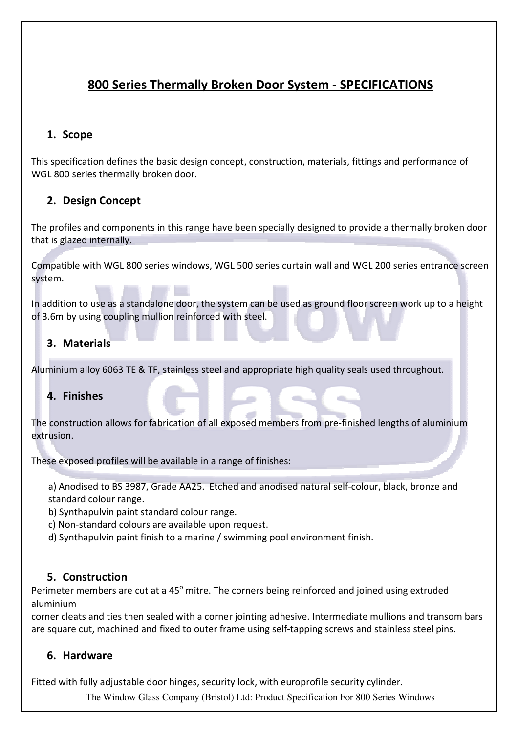# 800 Series Thermally Broken Door System - SPECIFICATIONS

## 1. Scope

This specification defines the basic design concept, construction, materials, fittings and performance of WGL 800 series thermally broken door.

## 2. Design Concept

The profiles and components in this range have been specially designed to provide a thermally broken door that is glazed internally.

Compatible with WGL 800 series windows, WGL 500 series curtain wall and WGL 200 series entrance screen system.

In addition to use as a standalone door, the system can be used as ground floor screen work up to a height of 3.6m by using coupling mullion reinforced with steel.

## 3. Materials

Aluminium alloy 6063 TE & TF, stainless steel and appropriate high quality seals used throughout.

## 4. Finishes

The construction allows for fabrication of all exposed members from pre-finished lengths of aluminium extrusion.

These exposed profiles will be available in a range of finishes:

a) Anodised to BS 3987, Grade AA25. Etched and anodised natural self-colour, black, bronze and standard colour range.

b) Synthapulvin paint standard colour range.

- c) Non-standard colours are available upon request.
- d) Synthapulvin paint finish to a marine / swimming pool environment finish.

## 5. Construction

Perimeter members are cut at a 45<sup>°</sup> mitre. The corners being reinforced and joined using extruded aluminium

corner cleats and ties then sealed with a corner jointing adhesive. Intermediate mullions and transom bars are square cut, machined and fixed to outer frame using self-tapping screws and stainless steel pins.

## 6. Hardware

Fitted with fully adjustable door hinges, security lock, with europrofile security cylinder.

The Window Glass Company (Bristol) Ltd: Product Specification For 800 Series Windows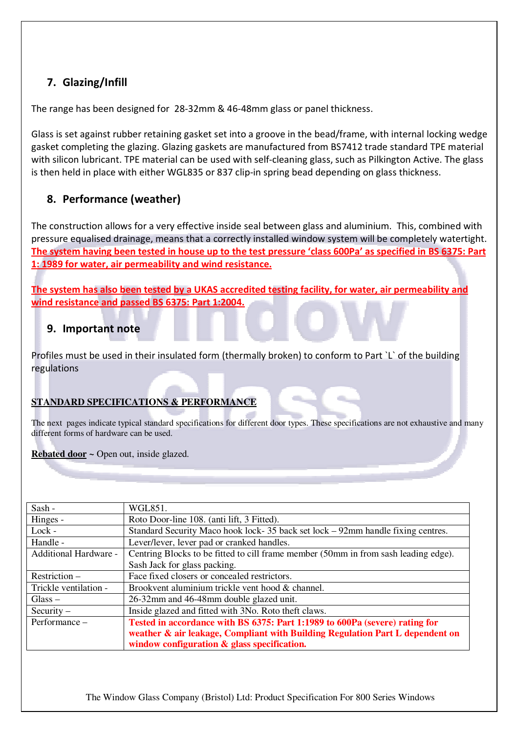## 7. Glazing/Infill

The range has been designed for 28-32mm & 46-48mm glass or panel thickness.

Glass is set against rubber retaining gasket set into a groove in the bead/frame, with internal locking wedge gasket completing the glazing. Glazing gaskets are manufactured from BS7412 trade standard TPE material with silicon lubricant. TPE material can be used with self-cleaning glass, such as Pilkington Active. The glass is then held in place with either WGL835 or 837 clip-in spring bead depending on glass thickness.

## 8. Performance (weather)

The construction allows for a very effective inside seal between glass and aluminium. This, combined with pressure equalised drainage, means that a correctly installed window system will be completely watertight. The system having been tested in house up to the test pressure 'class 600Pa' as specified in BS 6375: Part 1: 1989 for water, air permeability and wind resistance.

The system has also been tested by a UKAS accredited testing facility, for water, air permeability and wind resistance and passed BS 6375: Part 1:2004.

## 9. Important note

Profiles must be used in their insulated form (thermally broken) to conform to Part `L` of the building regulations

### **STANDARD SPECIFICATIONS & PERFORMANCE**

The next pages indicate typical standard specifications for different door types. These specifications are not exhaustive and many different forms of hardware can be used.

### **Rebated door ~** Open out, inside glazed.

| Sash -                | WGL851.                                                                             |
|-----------------------|-------------------------------------------------------------------------------------|
| Hinges -              | Roto Door-line 108. (anti lift, 3 Fitted).                                          |
| Lock -                | Standard Security Maco hook lock-35 back set lock – 92mm handle fixing centres.     |
| Handle -              | Lever/lever, lever pad or cranked handles.                                          |
| Additional Hardware - | Centring Blocks to be fitted to cill frame member (50mm in from sash leading edge). |
|                       | Sash Jack for glass packing.                                                        |
| Restriction $-$       | Face fixed closers or concealed restrictors.                                        |
| Trickle ventilation - | Brookvent aluminium trickle vent hood & channel.                                    |
| $Glass -$             | 26-32mm and 46-48mm double glazed unit.                                             |
| Security $-$          | Inside glazed and fitted with 3No. Roto theft claws.                                |
| Performance -         | Tested in accordance with BS 6375: Part 1:1989 to 600Pa (severe) rating for         |
|                       | weather & air leakage, Compliant with Building Regulation Part L dependent on       |
|                       | window configuration $\&$ glass specification.                                      |